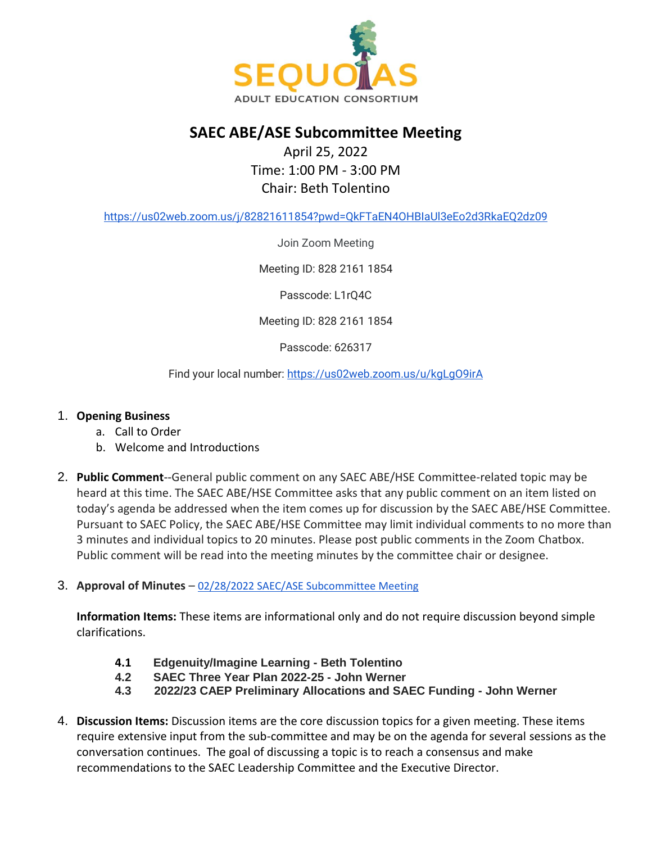

## **SAEC ABE/ASE Subcommittee Meeting**

## April 25, 2022 Time: 1:00 PM - 3:00 PM Chair: Beth Tolentino

<https://us02web.zoom.us/j/82821611854?pwd=QkFTaEN4OHBIaUl3eEo2d3RkaEQ2dz09>

Join Zoom Meeting

Meeting ID: 828 2161 1854

Passcode: L1rQ4C

Meeting ID: 828 2161 1854

Passcode: 626317

Find your local number: <https://us02web.zoom.us/u/kgLgO9irA>

## 1. **Opening Business**

- a. Call to Order
- b. Welcome and Introductions
- 2. **Public Comment**--General public comment on any SAEC ABE/HSE Committee-related topic may be heard at this time. The SAEC ABE/HSE Committee asks that any public comment on an item listed on today's agenda be addressed when the item comes up for discussion by the SAEC ABE/HSE Committee. Pursuant to SAEC Policy, the SAEC ABE/HSE Committee may limit individual comments to no more than 3 minutes and individual topics to 20 minutes. Please post public comments in the Zoom Chatbox. Public comment will be read into the meeting minutes by the committee chair or designee.
- 3. **Approval of Minutes** [02/28/2022 SAEC/ASE Subcommittee Meeting](https://docs.google.com/document/d/12YzzVbmBQoYbSU9_fRXMN_KtaJH__T2k/edit?usp=sharing&ouid=112661924082656955925&rtpof=true&sd=true)

**Information Items:** These items are informational only and do not require discussion beyond simple clarifications.

- **4.1 Edgenuity/Imagine Learning - Beth Tolentino**
- **4.2 SAEC Three Year Plan 2022-25 - John Werner**
- **4.3 2022/23 CAEP Preliminary Allocations and SAEC Funding - John Werner**
- 4. **Discussion Items:** Discussion items are the core discussion topics for a given meeting. These items require extensive input from the sub-committee and may be on the agenda for several sessions as the conversation continues. The goal of discussing a topic is to reach a consensus and make recommendations to the SAEC Leadership Committee and the Executive Director.